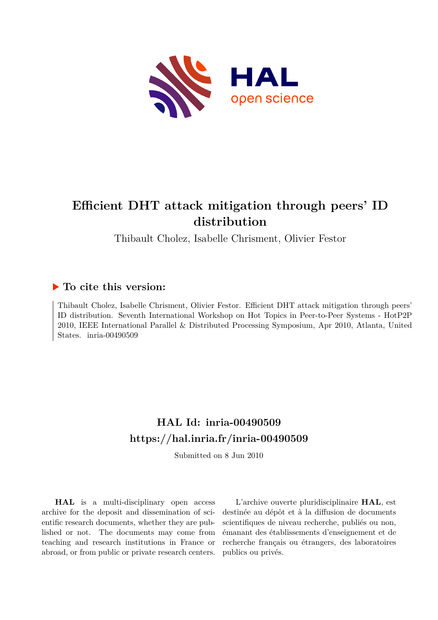

## **Efficient DHT attack mitigation through peers' ID distribution**

Thibault Cholez, Isabelle Chrisment, Olivier Festor

### **To cite this version:**

Thibault Cholez, Isabelle Chrisment, Olivier Festor. Efficient DHT attack mitigation through peers' ID distribution. Seventh International Workshop on Hot Topics in Peer-to-Peer Systems - HotP2P 2010, IEEE International Parallel & Distributed Processing Symposium, Apr 2010, Atlanta, United States. inria- $00490509$ 

## **HAL Id: inria-00490509 <https://hal.inria.fr/inria-00490509>**

Submitted on 8 Jun 2010

**HAL** is a multi-disciplinary open access archive for the deposit and dissemination of scientific research documents, whether they are published or not. The documents may come from teaching and research institutions in France or abroad, or from public or private research centers.

L'archive ouverte pluridisciplinaire **HAL**, est destinée au dépôt et à la diffusion de documents scientifiques de niveau recherche, publiés ou non, émanant des établissements d'enseignement et de recherche français ou étrangers, des laboratoires publics ou privés.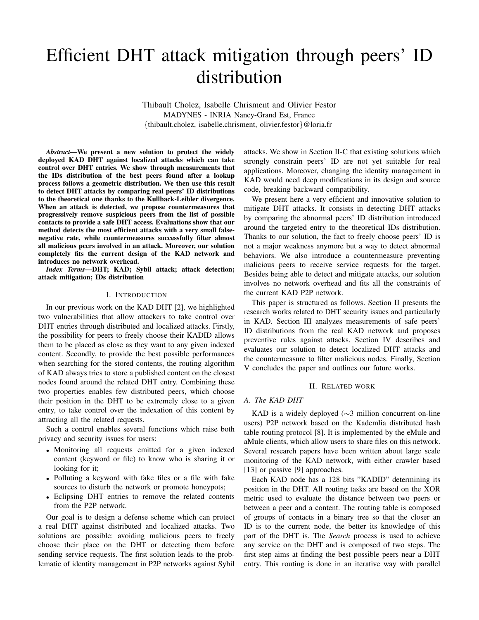# Efficient DHT attack mitigation through peers' ID distribution

Thibault Cholez, Isabelle Chrisment and Olivier Festor MADYNES - INRIA Nancy-Grand Est, France {thibault.cholez, isabelle.chrisment, olivier.festor}@loria.fr

*Abstract*—We present a new solution to protect the widely deployed KAD DHT against localized attacks which can take control over DHT entries. We show through measurements that the IDs distribution of the best peers found after a lookup process follows a geometric distribution. We then use this result to detect DHT attacks by comparing real peers' ID distributions to the theoretical one thanks to the Kullback-Leibler divergence. When an attack is detected, we propose countermeasures that progressively remove suspicious peers from the list of possible contacts to provide a safe DHT access. Evaluations show that our method detects the most efficient attacks with a very small falsenegative rate, while countermeasures successfully filter almost all malicious peers involved in an attack. Moreover, our solution completely fits the current design of the KAD network and introduces no network overhead.

*Index Terms*—DHT; KAD; Sybil attack; attack detection; attack mitigation; IDs distribution

#### I. INTRODUCTION

In our previous work on the KAD DHT [2], we highlighted two vulnerabilities that allow attackers to take control over DHT entries through distributed and localized attacks. Firstly, the possibility for peers to freely choose their KADID allows them to be placed as close as they want to any given indexed content. Secondly, to provide the best possible performances when searching for the stored contents, the routing algorithm of KAD always tries to store a published content on the closest nodes found around the related DHT entry. Combining these two properties enables few distributed peers, which choose their position in the DHT to be extremely close to a given entry, to take control over the indexation of this content by attracting all the related requests.

Such a control enables several functions which raise both privacy and security issues for users:

- Monitoring all requests emitted for a given indexed content (keyword or file) to know who is sharing it or looking for it;
- Polluting a keyword with fake files or a file with fake sources to disturb the network or promote honeypots;
- Eclipsing DHT entries to remove the related contents from the P2P network.

Our goal is to design a defense scheme which can protect a real DHT against distributed and localized attacks. Two solutions are possible: avoiding malicious peers to freely choose their place on the DHT or detecting them before sending service requests. The first solution leads to the problematic of identity management in P2P networks against Sybil attacks. We show in Section II-C that existing solutions which strongly constrain peers' ID are not yet suitable for real applications. Moreover, changing the identity management in KAD would need deep modifications in its design and source code, breaking backward compatibility.

We present here a very efficient and innovative solution to mitigate DHT attacks. It consists in detecting DHT attacks by comparing the abnormal peers' ID distribution introduced around the targeted entry to the theoretical IDs distribution. Thanks to our solution, the fact to freely choose peers' ID is not a major weakness anymore but a way to detect abnormal behaviors. We also introduce a countermeasure preventing malicious peers to receive service requests for the target. Besides being able to detect and mitigate attacks, our solution involves no network overhead and fits all the constraints of the current KAD P2P network.

This paper is structured as follows. Section II presents the research works related to DHT security issues and particularly in KAD. Section III analyzes measurements of safe peers' ID distributions from the real KAD network and proposes preventive rules against attacks. Section IV describes and evaluates our solution to detect localized DHT attacks and the countermeasure to filter malicious nodes. Finally, Section V concludes the paper and outlines our future works.

#### II. RELATED WORK

#### *A. The KAD DHT*

KAD is a widely deployed (∼3 million concurrent on-line users) P2P network based on the Kademlia distributed hash table routing protocol [8]. It is implemented by the eMule and aMule clients, which allow users to share files on this network. Several research papers have been written about large scale monitoring of the KAD network, with either crawler based [13] or passive [9] approaches.

Each KAD node has a 128 bits "KADID" determining its position in the DHT. All routing tasks are based on the XOR metric used to evaluate the distance between two peers or between a peer and a content. The routing table is composed of groups of contacts in a binary tree so that the closer an ID is to the current node, the better its knowledge of this part of the DHT is. The *Search* process is used to achieve any service on the DHT and is composed of two steps. The first step aims at finding the best possible peers near a DHT entry. This routing is done in an iterative way with parallel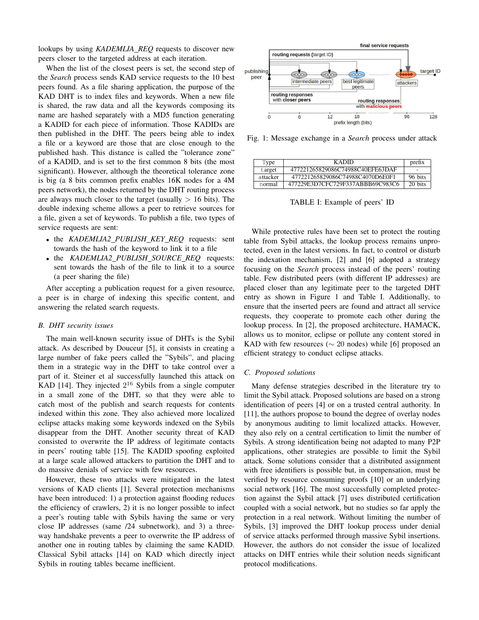lookups by using *KADEMLIA REQ* requests to discover new peers closer to the targeted address at each iteration.

When the list of the closest peers is set, the second step of the *Search* process sends KAD service requests to the 10 best peers found. As a file sharing application, the purpose of the KAD DHT is to index files and keywords. When a new file is shared, the raw data and all the keywords composing its name are hashed separately with a MD5 function generating a KADID for each piece of information. Those KADIDs are then published in the DHT. The peers being able to index a file or a keyword are those that are close enough to the published hash. This distance is called the "tolerance zone" of a KADID, and is set to the first common 8 bits (the most significant). However, although the theoretical tolerance zone is big (a 8 bits common prefix enables 16K nodes for a 4M peers network), the nodes returned by the DHT routing process are always much closer to the target (usually  $> 16$  bits). The double indexing scheme allows a peer to retrieve sources for a file, given a set of keywords. To publish a file, two types of service requests are sent:

- the *KADEMLIA2 PUBLISH KEY REQ* requests: sent towards the hash of the keyword to link it to a file
- the *KADEMLIA2 PUBLISH SOURCE REQ* requests: sent towards the hash of the file to link it to a source (a peer sharing the file)

After accepting a publication request for a given resource, a peer is in charge of indexing this specific content, and answering the related search requests.

#### *B. DHT security issues*

The main well-known security issue of DHTs is the Sybil attack. As described by Douceur [5], it consists in creating a large number of fake peers called the "Sybils", and placing them in a strategic way in the DHT to take control over a part of it. Steiner et al successfully launched this attack on KAD [14]. They injected  $2^{16}$  Sybils from a single computer in a small zone of the DHT, so that they were able to catch most of the publish and search requests for contents indexed within this zone. They also achieved more localized eclipse attacks making some keywords indexed on the Sybils disappear from the DHT. Another security threat of KAD consisted to overwrite the IP address of legitimate contacts in peers' routing table [15]. The KADID spoofing exploited at a large scale allowed attackers to partition the DHT and to do massive denials of service with few resources.

However, these two attacks were mitigated in the latest versions of KAD clients [1]. Several protection mechanisms have been introduced: 1) a protection against flooding reduces the efficiency of crawlers, 2) it is no longer possible to infect a peer's routing table with Sybils having the same or very close IP addresses (same /24 subnetwork), and 3) a threeway handshake prevents a peer to overwrite the IP address of another one in routing tables by claiming the same KADID. Classical Sybil attacks [14] on KAD which directly inject Sybils in routing tables became inefficient.



Fig. 1: Message exchange in a *Search* process under attack

| Type     | <b>KADID</b>                     | prefix  |
|----------|----------------------------------|---------|
| target   | 477221265829086C74988C40EFE63DAF |         |
| attacker | 477221265829086C74988C4070D6E0F1 | 96 bits |
| normal   | 477229E3D7CFC729F337ABBB69C983C6 | 20 hits |

TABLE I: Example of peers' ID

While protective rules have been set to protect the routing table from Sybil attacks, the lookup process remains unprotected, even in the latest versions. In fact, to control or disturb the indexation mechanism, [2] and [6] adopted a strategy focusing on the *Search* process instead of the peers' routing table. Few distributed peers (with different IP addresses) are placed closer than any legitimate peer to the targeted DHT entry as shown in Figure 1 and Table I. Additionally, to ensure that the inserted peers are found and attract all service requests, they cooperate to promote each other during the lookup process. In [2], the proposed architecture, HAMACK, allows us to monitor, eclipse or pollute any content stored in KAD with few resources ( $\sim$  20 nodes) while [6] proposed an efficient strategy to conduct eclipse attacks.

#### *C. Proposed solutions*

Many defense strategies described in the literature try to limit the Sybil attack. Proposed solutions are based on a strong identification of peers [4] or on a trusted central authority. In [11], the authors propose to bound the degree of overlay nodes by anonymous auditing to limit localized attacks. However, they also rely on a central certification to limit the number of Sybils. A strong identification being not adapted to many P2P applications, other strategies are possible to limit the Sybil attack. Some solutions consider that a distributed assignment with free identifiers is possible but, in compensation, must be verified by resource consuming proofs [10] or an underlying social network [16]. The most successfully completed protection against the Sybil attack [7] uses distributed certification coupled with a social network, but no studies so far apply the protection in a real network. Without limiting the number of Sybils, [3] improved the DHT lookup process under denial of service attacks performed through massive Sybil insertions. However, the authors do not consider the issue of localized attacks on DHT entries while their solution needs significant protocol modifications.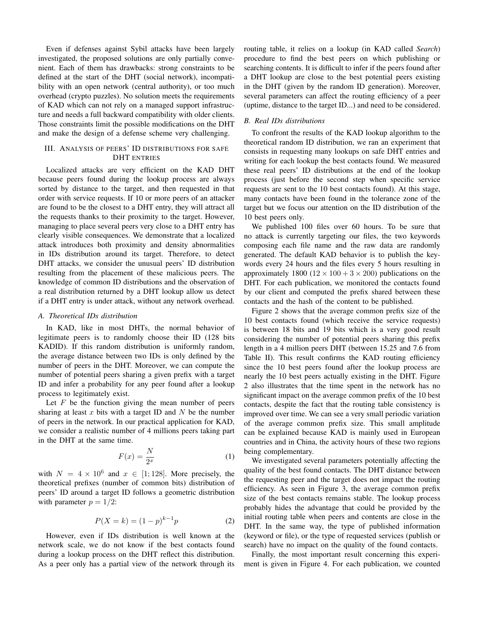Even if defenses against Sybil attacks have been largely investigated, the proposed solutions are only partially convenient. Each of them has drawbacks: strong constraints to be defined at the start of the DHT (social network), incompatibility with an open network (central authority), or too much overhead (crypto puzzles). No solution meets the requirements of KAD which can not rely on a managed support infrastructure and needs a full backward compatibility with older clients. Those constraints limit the possible modifications on the DHT and make the design of a defense scheme very challenging.

#### III. ANALYSIS OF PEERS' ID DISTRIBUTIONS FOR SAFE DHT ENTRIES

Localized attacks are very efficient on the KAD DHT because peers found during the lookup process are always sorted by distance to the target, and then requested in that order with service requests. If 10 or more peers of an attacker are found to be the closest to a DHT entry, they will attract all the requests thanks to their proximity to the target. However, managing to place several peers very close to a DHT entry has clearly visible consequences. We demonstrate that a localized attack introduces both proximity and density abnormalities in IDs distribution around its target. Therefore, to detect DHT attacks, we consider the unusual peers' ID distribution resulting from the placement of these malicious peers. The knowledge of common ID distributions and the observation of a real distribution returned by a DHT lookup allow us detect if a DHT entry is under attack, without any network overhead.

#### *A. Theoretical IDs distribution*

In KAD, like in most DHTs, the normal behavior of legitimate peers is to randomly choose their ID (128 bits KADID). If this random distribution is uniformly random, the average distance between two IDs is only defined by the number of peers in the DHT. Moreover, we can compute the number of potential peers sharing a given prefix with a target ID and infer a probability for any peer found after a lookup process to legitimately exist.

Let  $F$  be the function giving the mean number of peers sharing at least  $x$  bits with a target ID and  $N$  be the number of peers in the network. In our practical application for KAD, we consider a realistic number of 4 millions peers taking part in the DHT at the same time.

$$
F(x) = \frac{N}{2^x} \tag{1}
$$

with  $N = 4 \times 10^6$  and  $x \in [1, 128]$ . More precisely, the theoretical prefixes (number of common bits) distribution of peers' ID around a target ID follows a geometric distribution with parameter  $p = 1/2$ :

$$
P(X = k) = (1 - p)^{k-1}p
$$
 (2)

However, even if IDs distribution is well known at the network scale, we do not know if the best contacts found during a lookup process on the DHT reflect this distribution. As a peer only has a partial view of the network through its routing table, it relies on a lookup (in KAD called *Search*) procedure to find the best peers on which publishing or searching contents. It is difficult to infer if the peers found after a DHT lookup are close to the best potential peers existing in the DHT (given by the random ID generation). Moreover, several parameters can affect the routing efficiency of a peer (uptime, distance to the target ID...) and need to be considered.

#### *B. Real IDs distributions*

To confront the results of the KAD lookup algorithm to the theoretical random ID distribution, we ran an experiment that consists in requesting many lookups on safe DHT entries and writing for each lookup the best contacts found. We measured these real peers' ID distributions at the end of the lookup process (just before the second step when specific service requests are sent to the 10 best contacts found). At this stage, many contacts have been found in the tolerance zone of the target but we focus our attention on the ID distribution of the 10 best peers only.

We published 100 files over 60 hours. To be sure that no attack is currently targeting our files, the two keywords composing each file name and the raw data are randomly generated. The default KAD behavior is to publish the keywords every 24 hours and the files every 5 hours resulting in approximately 1800 ( $12 \times 100 + 3 \times 200$ ) publications on the DHT. For each publication, we monitored the contacts found by our client and computed the prefix shared between these contacts and the hash of the content to be published.

Figure 2 shows that the average common prefix size of the 10 best contacts found (which receive the service requests) is between 18 bits and 19 bits which is a very good result considering the number of potential peers sharing this prefix length in a 4 million peers DHT (between 15.25 and 7.6 from Table II). This result confirms the KAD routing efficiency since the 10 best peers found after the lookup process are nearly the 10 best peers actually existing in the DHT. Figure 2 also illustrates that the time spent in the network has no significant impact on the average common prefix of the 10 best contacts, despite the fact that the routing table consistency is improved over time. We can see a very small periodic variation of the average common prefix size. This small amplitude can be explained because KAD is mainly used in European countries and in China, the activity hours of these two regions being complementary.

We investigated several parameters potentially affecting the quality of the best found contacts. The DHT distance between the requesting peer and the target does not impact the routing efficiency. As seen in Figure 3, the average common prefix size of the best contacts remains stable. The lookup process probably hides the advantage that could be provided by the initial routing table when peers and contents are close in the DHT. In the same way, the type of published information (keyword or file), or the type of requested services (publish or search) have no impact on the quality of the found contacts.

Finally, the most important result concerning this experiment is given in Figure 4. For each publication, we counted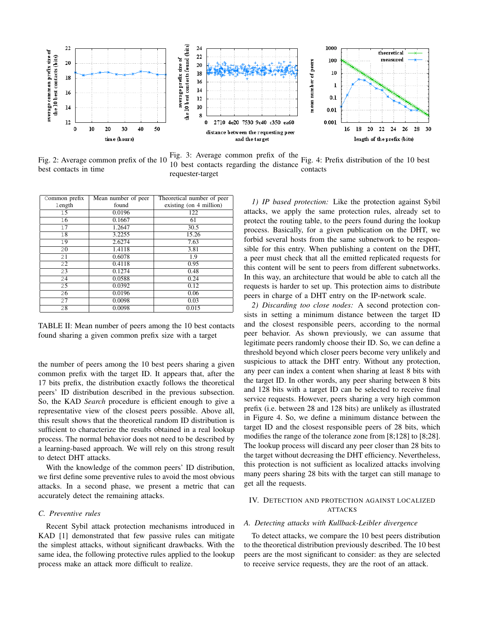

Fig. 2: Average common prefix of the 10 best contacts in time Fig. 3: Average common prefix of the 10 best contacts regarding the distance requester-target Fig. 4: Prefix distribution of the 10 best contacts

| Common prefix   | Mean number of peer | Theoretical number of peer |
|-----------------|---------------------|----------------------------|
| length          | found               | existing (on 4 million)    |
| 15              | 0.0196              | 122                        |
| 16              | 0.1667              | 61                         |
| 17              | 1.2647              | 30.5                       |
| 18              | 3.2255              | 15.26                      |
| $\overline{19}$ | 2.6274              | 7.63                       |
| $\overline{20}$ | 1.4118              | 3.81                       |
| $\overline{21}$ | 0.6078              | 1.9                        |
| $\overline{22}$ | 0.4118              | 0.95                       |
| $\overline{23}$ | 0.1274              | 0.48                       |
| 24              | 0.0588              | 0.24                       |
| $\overline{25}$ | 0.0392              | 0.12                       |
| $\overline{26}$ | 0.0196              | 0.06                       |
| 27              | 0.0098              |                            |
| 28              | 0.0098              | 0.015                      |

TABLE II: Mean number of peers among the 10 best contacts found sharing a given common prefix size with a target

the number of peers among the 10 best peers sharing a given common prefix with the target ID. It appears that, after the 17 bits prefix, the distribution exactly follows the theoretical peers' ID distribution described in the previous subsection. So, the KAD *Search* procedure is efficient enough to give a representative view of the closest peers possible. Above all, this result shows that the theoretical random ID distribution is sufficient to characterize the results obtained in a real lookup process. The normal behavior does not need to be described by a learning-based approach. We will rely on this strong result to detect DHT attacks.

With the knowledge of the common peers' ID distribution, we first define some preventive rules to avoid the most obvious attacks. In a second phase, we present a metric that can accurately detect the remaining attacks.

#### *C. Preventive rules*

Recent Sybil attack protection mechanisms introduced in KAD [1] demonstrated that few passive rules can mitigate the simplest attacks, without significant drawbacks. With the same idea, the following protective rules applied to the lookup process make an attack more difficult to realize.

*1) IP based protection:* Like the protection against Sybil attacks, we apply the same protection rules, already set to protect the routing table, to the peers found during the lookup process. Basically, for a given publication on the DHT, we forbid several hosts from the same subnetwork to be responsible for this entry. When publishing a content on the DHT, a peer must check that all the emitted replicated requests for this content will be sent to peers from different subnetworks. In this way, an architecture that would be able to catch all the requests is harder to set up. This protection aims to distribute peers in charge of a DHT entry on the IP-network scale.

*2) Discarding too close nodes:* A second protection consists in setting a minimum distance between the target ID and the closest responsible peers, according to the normal peer behavior. As shown previously, we can assume that legitimate peers randomly choose their ID. So, we can define a threshold beyond which closer peers become very unlikely and suspicious to attack the DHT entry. Without any protection, any peer can index a content when sharing at least 8 bits with the target ID. In other words, any peer sharing between 8 bits and 128 bits with a target ID can be selected to receive final service requests. However, peers sharing a very high common prefix (i.e. between 28 and 128 bits) are unlikely as illustrated in Figure 4. So, we define a minimum distance between the target ID and the closest responsible peers of 28 bits, which modifies the range of the tolerance zone from [8;128] to [8;28]. The lookup process will discard any peer closer than 28 bits to the target without decreasing the DHT efficiency. Nevertheless, this protection is not sufficient as localized attacks involving many peers sharing 28 bits with the target can still manage to get all the requests.

#### IV. DETECTION AND PROTECTION AGAINST LOCALIZED ATTACKS

#### *A. Detecting attacks with Kullback-Leibler divergence*

To detect attacks, we compare the 10 best peers distribution to the theoretical distribution previously described. The 10 best peers are the most significant to consider: as they are selected to receive service requests, they are the root of an attack.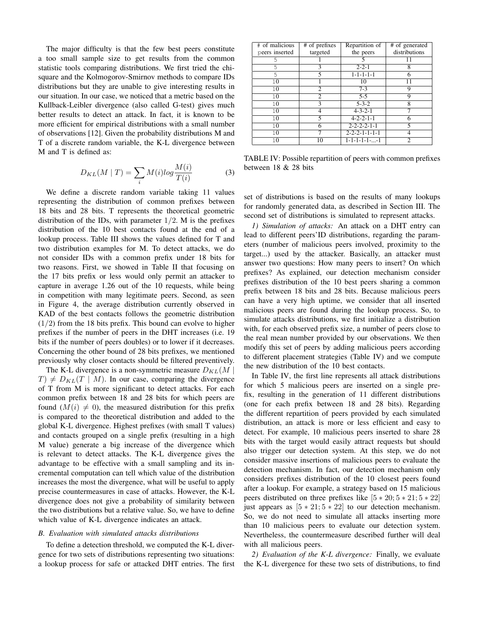The major difficulty is that the few best peers constitute a too small sample size to get results from the common statistic tools comparing distributions. We first tried the chisquare and the Kolmogorov-Smirnov methods to compare IDs distributions but they are unable to give interesting results in our situation. In our case, we noticed that a metric based on the Kullback-Leibler divergence (also called G-test) gives much better results to detect an attack. In fact, it is known to be more efficient for empirical distributions with a small number of observations [12]. Given the probability distributions M and T of a discrete random variable, the K-L divergence between M and T is defined as:

$$
D_{KL}(M \mid T) = \sum_{i} M(i)log \frac{M(i)}{T(i)}
$$
(3)

We define a discrete random variable taking 11 values representing the distribution of common prefixes between 18 bits and 28 bits. T represents the theoretical geometric distribution of the IDs, with parameter  $1/2$ . M is the prefixes distribution of the 10 best contacts found at the end of a lookup process. Table III shows the values defined for T and two distribution examples for M. To detect attacks, we do not consider IDs with a common prefix under 18 bits for two reasons. First, we showed in Table II that focusing on the 17 bits prefix or less would only permit an attacker to capture in average 1.26 out of the 10 requests, while being in competition with many legitimate peers. Second, as seen in Figure 4, the average distribution currently observed in KAD of the best contacts follows the geometric distribution  $(1/2)$  from the 18 bits prefix. This bound can evolve to higher prefixes if the number of peers in the DHT increases (i.e. 19 bits if the number of peers doubles) or to lower if it decreases. Concerning the other bound of 28 bits prefixes, we mentioned previously why closer contacts should be filtered preventively.

The K-L divergence is a non-symmetric measure  $D_{KL}(M |$  $T$ )  $\neq D_{KL}(T \mid M)$ . In our case, comparing the divergence of T from M is more significant to detect attacks. For each common prefix between 18 and 28 bits for which peers are found  $(M(i) \neq 0)$ , the measured distribution for this prefix is compared to the theoretical distribution and added to the global K-L divergence. Highest prefixes (with small T values) and contacts grouped on a single prefix (resulting in a high M value) generate a big increase of the divergence which is relevant to detect attacks. The K-L divergence gives the advantage to be effective with a small sampling and its incremental computation can tell which value of the distribution increases the most the divergence, what will be useful to apply precise countermeasures in case of attacks. However, the K-L divergence does not give a probability of similarity between the two distributions but a relative value. So, we have to define which value of K-L divergence indicates an attack.

#### *B. Evaluation with simulated attacks distributions*

To define a detection threshold, we computed the K-L divergence for two sets of distributions representing two situations: a lookup process for safe or attacked DHT entries. The first

| # of malicious  | # of prefixes  | Repartition of              | # of generated |  |
|-----------------|----------------|-----------------------------|----------------|--|
| peers inserted  | targeted       | the peers                   | distributions  |  |
| 5               |                |                             |                |  |
| 5               | 3              | $2 - 2 - 1$                 |                |  |
| 5               | 5              | $1 - 1 - 1 - 1 - 1$         | 6              |  |
| 10              |                | 10                          |                |  |
| 10              | 2              | $7 - 3$                     | q              |  |
| 10              | $\overline{c}$ | $5 - 5$                     | 9              |  |
| 10              | 3              | $5 - 3 - 2$                 | 8              |  |
| $\overline{10}$ | 4              | $4 - 3 - 2 - 1$             |                |  |
| 10              | 5              | $4 - 2 - 2 - 1 - 1$         | 6              |  |
| 10              | 6              | $2 - 2 - 2 - 1 - 1$         | 5              |  |
| $\overline{10}$ |                | $2 - 2 - 2 - 1 - 1 - 1 - 1$ |                |  |
| 10              | 10             | $1 - 1 - 1 - 1 - 1 -  - 1$  |                |  |

TABLE IV: Possible repartition of peers with common prefixes between 18 & 28 bits

set of distributions is based on the results of many lookups for randomly generated data, as described in Section III. The second set of distributions is simulated to represent attacks.

*1) Simulation of attacks:* An attack on a DHT entry can lead to different peers'ID distributions, regarding the parameters (number of malicious peers involved, proximity to the target...) used by the attacker. Basically, an attacker must answer two questions: How many peers to insert? On which prefixes? As explained, our detection mechanism consider prefixes distribution of the 10 best peers sharing a common prefix between 18 bits and 28 bits. Because malicious peers can have a very high uptime, we consider that all inserted malicious peers are found during the lookup process. So, to simulate attacks distributions, we first initialize a distribution with, for each observed prefix size, a number of peers close to the real mean number provided by our observations. We then modify this set of peers by adding malicious peers according to different placement strategies (Table IV) and we compute the new distribution of the 10 best contacts.

In Table IV, the first line represents all attack distributions for which 5 malicious peers are inserted on a single prefix, resulting in the generation of 11 different distributions (one for each prefix between 18 and 28 bits). Regarding the different repartition of peers provided by each simulated distribution, an attack is more or less efficient and easy to detect. For example, 10 malicious peers inserted to share 28 bits with the target would easily attract requests but should also trigger our detection system. At this step, we do not consider massive insertions of malicious peers to evaluate the detection mechanism. In fact, our detection mechanism only considers prefixes distribution of the 10 closest peers found after a lookup. For example, a strategy based on 15 malicious peers distributed on three prefixes like  $[5 * 20; 5 * 21; 5 * 22]$ just appears as  $[5 * 21; 5 * 22]$  to our detection mechanism. So, we do not need to simulate all attacks inserting more than 10 malicious peers to evaluate our detection system. Nevertheless, the countermeasure described further will deal with all malicious peers.

*2) Evaluation of the K-L divergence:* Finally, we evaluate the K-L divergence for these two sets of distributions, to find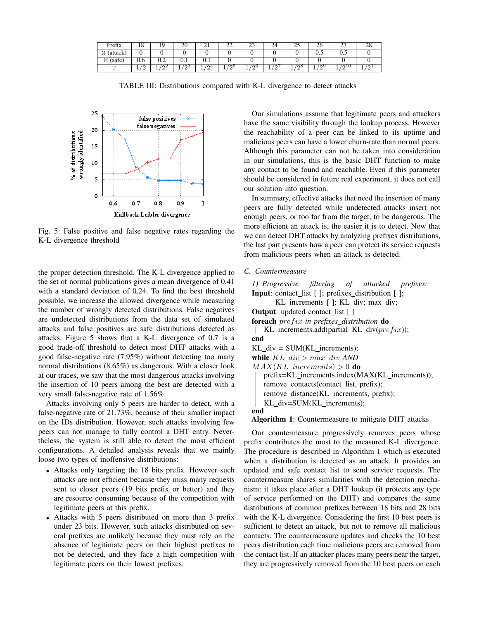| Prefix                   | 18  |                               | ΩΩ<br>ZU                      | - 1  | $\sim$<br>-- | $\sim$<br>ت   | ~      | سد    | ZU  | -              | ∠ບ         |
|--------------------------|-----|-------------------------------|-------------------------------|------|--------------|---------------|--------|-------|-----|----------------|------------|
| (attack)<br>М            |     |                               |                               |      |              |               |        |       | U.J | ∪.J            |            |
| $\sim$<br>(safe<br>-11   | U.O | $\mathbf{v} \cdot \mathbf{v}$ | $\mathbf{U} \cdot \mathbf{I}$ | v. i |              |               |        |       |     |                |            |
| $\overline{\phantom{0}}$ |     | 'വ്                           | രര                            | 104  | /റാ<br>∸     | 706<br>∸<br>ᅩ | n<br>∸ | 'റ്റ് | 7എ  | /210<br>-<br>∸ | .7011<br>∸ |

TABLE III: Distributions compared with K-L divergence to detect attacks



Fig. 5: False positive and false negative rates regarding the K-L divergence threshold

the proper detection threshold. The K-L divergence applied to the set of normal publications gives a mean divergence of 0.41 with a standard deviation of 0.24. To find the best threshold possible, we increase the allowed divergence while measuring the number of wrongly detected distributions. False negatives are undetected distributions from the data set of simulated attacks and false positives are safe distributions detected as attacks. Figure 5 shows that a K-L divergence of 0.7 is a good trade-off threshold to detect most DHT attacks with a good false-negative rate (7.95%) without detecting too many normal distributions (8.65%) as dangerous. With a closer look at our traces, we saw that the most dangerous attacks involving the insertion of 10 peers among the best are detected with a very small false-negative rate of 1.56%.

Attacks involving only 5 peers are harder to detect, with a false-negative rate of 21.73%, because of their smaller impact on the IDs distribution. However, such attacks involving few peers can not manage to fully control a DHT entry. Nevertheless, the system is still able to detect the most efficient configurations. A detailed analysis reveals that we mainly loose two types of inoffensive distributions:

- Attacks only targeting the 18 bits prefix. However such attacks are not efficient because they miss many requests sent to closer peers (19 bits prefix or better) and they are resource consuming because of the competition with legitimate peers at this prefix.
- Attacks with 5 peers distributed on more than 3 prefix under 23 bits. However, such attacks distributed on several prefixes are unlikely because they must rely on the absence of legitimate peers on their highest prefixes to not be detected, and they face a high competition with legitimate peers on their lowest prefixes.

Our simulations assume that legitimate peers and attackers have the same visibility through the lookup process. However the reachability of a peer can be linked to its uptime and malicious peers can have a lower churn-rate than normal peers. Although this parameter can not be taken into consideration in our simulations, this is the basic DHT function to make any contact to be found and reachable. Even if this parameter should be considered in future real experiment, it does not call our solution into question.

In summary, effective attacks that need the insertion of many peers are fully detected while undetected attacks insert not enough peers, or too far from the target, to be dangerous. The more efficient an attack is, the easier it is to detect. Now that we can detect DHT attacks by analyzing prefixes distributions, the last part presents how a peer can protect its service requests from malicious peers when an attack is detected.

#### *C. Countermeasure*

*1) Progressive filtering of attacked prefixes:* Input: contact\_list [ ]; prefixes\_distribution [ ]; KL\_increments [ ]; KL\_div; max\_div; **Output:** updated contact list [ ] foreach prefix *in prefixes distribution* do KL\_increments.add(partial\_KL\_div( $prefix$ )); end  $KL\_div = SUM(KL\_increments);$ while KL div > max div *AND*  $MAX(KL$  increments) > 0 do prefix=KL\_increments.index(MAX(KL\_increments)); remove contacts(contact list, prefix); remove\_distance(KL\_increments, prefix); KL\_div=SUM(KL\_increments); end

Algorithm 1: Countermeasure to mitigate DHT attacks

Our countermeasure progressively removes peers whose prefix contributes the most to the measured K-L divergence. The procedure is described in Algorithm 1 which is executed when a distribution is detected as an attack. It provides an updated and safe contact list to send service requests. The countermeasure shares similarities with the detection mechanism: it takes place after a DHT lookup (it protects any type of service performed on the DHT) and compares the same distributions of common prefixes between 18 bits and 28 bits with the K-L divergence. Considering the first 10 best peers is sufficient to detect an attack, but not to remove all malicious contacts. The countermeasure updates and checks the 10 best peers distribution each time malicious peers are removed from the contact list. If an attacker places many peers near the target, they are progressively removed from the 10 best peers on each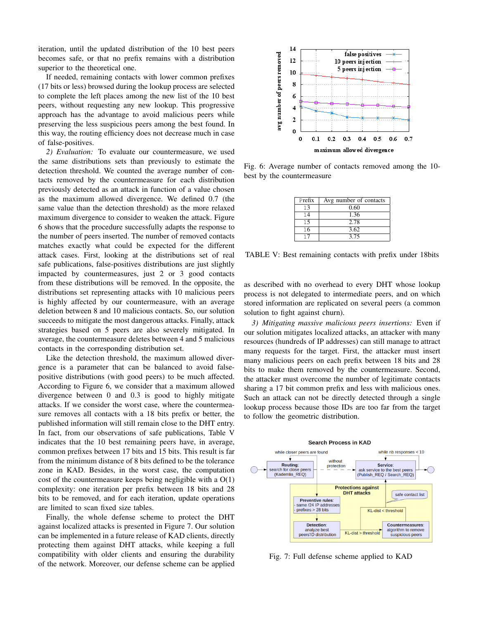iteration, until the updated distribution of the 10 best peers becomes safe, or that no prefix remains with a distribution superior to the theoretical one.

If needed, remaining contacts with lower common prefixes (17 bits or less) browsed during the lookup process are selected to complete the left places among the new list of the 10 best peers, without requesting any new lookup. This progressive approach has the advantage to avoid malicious peers while preserving the less suspicious peers among the best found. In this way, the routing efficiency does not decrease much in case of false-positives.

*2) Evaluation:* To evaluate our countermeasure, we used the same distributions sets than previously to estimate the detection threshold. We counted the average number of contacts removed by the countermeasure for each distribution previously detected as an attack in function of a value chosen as the maximum allowed divergence. We defined 0.7 (the same value than the detection threshold) as the more relaxed maximum divergence to consider to weaken the attack. Figure 6 shows that the procedure successfully adapts the response to the number of peers inserted. The number of removed contacts matches exactly what could be expected for the different attack cases. First, looking at the distributions set of real safe publications, false-positives distributions are just slightly impacted by countermeasures, just 2 or 3 good contacts from these distributions will be removed. In the opposite, the distributions set representing attacks with 10 malicious peers is highly affected by our countermeasure, with an average deletion between 8 and 10 malicious contacts. So, our solution succeeds to mitigate the most dangerous attacks. Finally, attack strategies based on 5 peers are also severely mitigated. In average, the countermeasure deletes between 4 and 5 malicious contacts in the corresponding distribution set.

Like the detection threshold, the maximum allowed divergence is a parameter that can be balanced to avoid falsepositive distributions (with good peers) to be much affected. According to Figure 6, we consider that a maximum allowed divergence between 0 and 0.3 is good to highly mitigate attacks. If we consider the worst case, where the countermeasure removes all contacts with a 18 bits prefix or better, the published information will still remain close to the DHT entry. In fact, from our observations of safe publications, Table V indicates that the 10 best remaining peers have, in average, common prefixes between 17 bits and 15 bits. This result is far from the minimum distance of 8 bits defined to be the tolerance zone in KAD. Besides, in the worst case, the computation cost of the countermeasure keeps being negligible with a O(1) complexity: one iteration per prefix between 18 bits and 28 bits to be removed, and for each iteration, update operations are limited to scan fixed size tables.

Finally, the whole defense scheme to protect the DHT against localized attacks is presented in Figure 7. Our solution can be implemented in a future release of KAD clients, directly protecting them against DHT attacks, while keeping a full compatibility with older clients and ensuring the durability of the network. Moreover, our defense scheme can be applied



Fig. 6: Average number of contacts removed among the 10 best by the countermeasure

| Prefix                    | Avg number of contacts |
|---------------------------|------------------------|
| $\mathbf{1}^{\mathbf{3}}$ | 0.60                   |
| 14                        | 1.36                   |
| 15                        | 2.78                   |
| 16                        | 3.62                   |
|                           | 3.75                   |

TABLE V: Best remaining contacts with prefix under 18bits

as described with no overhead to every DHT whose lookup process is not delegated to intermediate peers, and on which stored information are replicated on several peers (a common solution to fight against churn).

*3) Mitigating massive malicious peers insertions:* Even if our solution mitigates localized attacks, an attacker with many resources (hundreds of IP addresses) can still manage to attract many requests for the target. First, the attacker must insert many malicious peers on each prefix between 18 bits and 28 bits to make them removed by the countermeasure. Second, the attacker must overcome the number of legitimate contacts sharing a 17 bit common prefix and less with malicious ones. Such an attack can not be directly detected through a single lookup process because those IDs are too far from the target to follow the geometric distribution.



Fig. 7: Full defense scheme applied to KAD